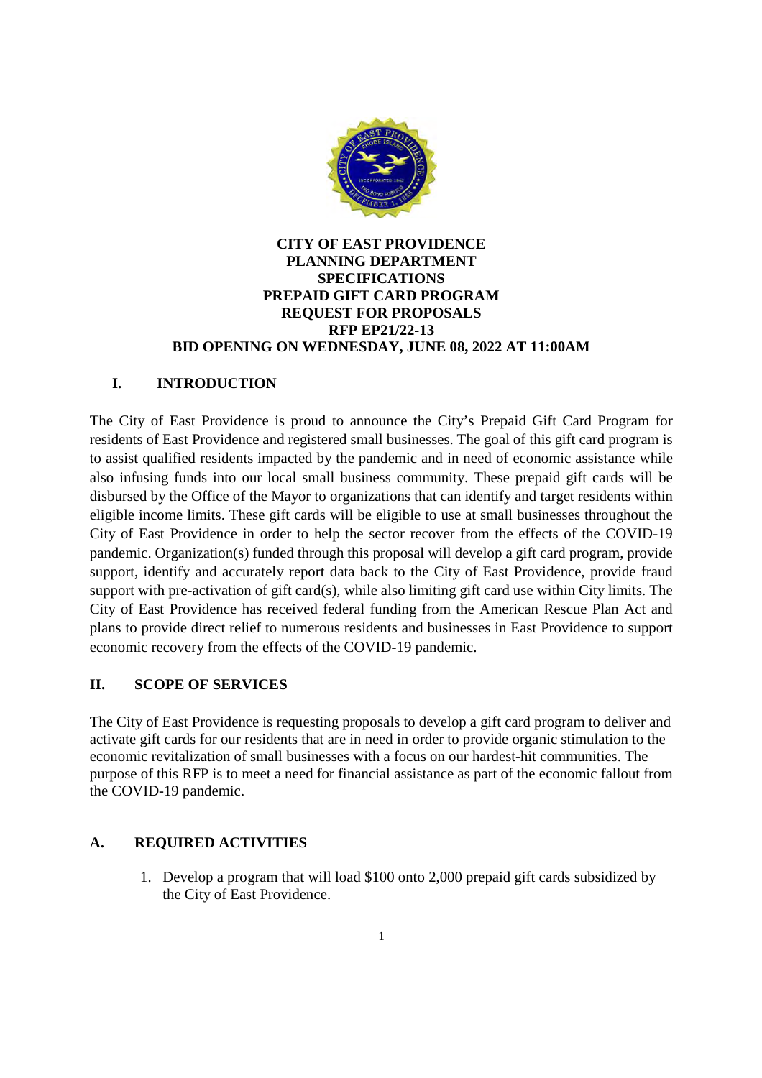

# **CITY OF EAST PROVIDENCE** PLANNING DEPARTMENT **SPECIFICATIONS** PREPAID GIFT CARD PROGRAM **REQUEST FOR PROPOSALS RFP EP21/22-13** BID OPENING ON WEDNESDAY, JUNE 08, 2022 AT 11:00AM

# I. **INTRODUCTION**

The City of East Providence is proud to announce the City's Prepaid Gift Card Program for residents of East Providence and registered small businesses. The goal of this gift card program is to assist qualified residents impacted by the pandemic and in need of economic assistance while also infusing funds into our local small business community. These prepaid gift cards will be disbursed by the Office of the Mayor to organizations that can identify and target residents within eligible income limits. These gift cards will be eligible to use at small businesses throughout the City of East Providence in order to help the sector recover from the effects of the COVID-19 pandemic. Organization(s) funded through this proposal will develop a gift card program, provide support, identify and accurately report data back to the City of East Providence, provide fraud support with pre-activation of gift card(s), while also limiting gift card use within City limits. The City of East Providence has received federal funding from the American Rescue Plan Act and plans to provide direct relief to numerous residents and businesses in East Providence to support economic recovery from the effects of the COVID-19 pandemic.

# **II. SCOPE OF SERVICES**

The City of East Providence is requesting proposals to develop a gift card program to deliver and activate gift cards for our residents that are in need in order to provide organic stimulation to the economic revitalization of small businesses with a focus on our hardest-hit communities. The purpose of this RFP is to meet a need for financial assistance as part of the economic fallout from the COVID-19 pandemic.

# $\mathbf{A}$ . **REQUIRED ACTIVITIES**

1. Develop a program that will load \$100 onto 2,000 prepaid gift cards subsidized by the City of East Providence.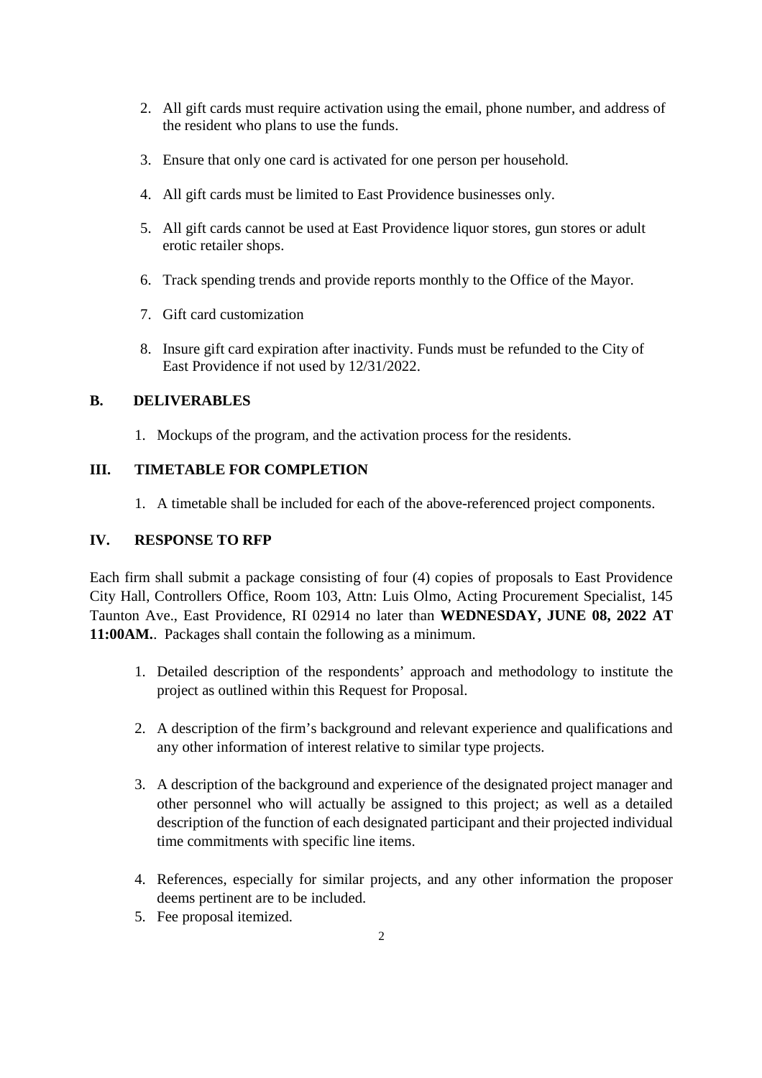- 2. All gift cards must require activation using the email, phone number, and address of the resident who plans to use the funds.
- 3. Ensure that only one card is activated for one person per household.
- 4. All gift cards must be limited to East Providence businesses only.
- 5. All gift cards cannot be used at East Providence liquor stores, gun stores or adult erotic retailer shops.
- 6. Track spending trends and provide reports monthly to the Office of the Mayor.
- 7. Gift card customization
- 8. Insure gift card expiration after inactivity. Funds must be refunded to the City of East Providence if not used by 12/31/2022.

## $\mathbf{B}$ . **DELIVERABLES**

1. Mockups of the program, and the activation process for the residents.

# III. **TIMETABLE FOR COMPLETION**

1. A timetable shall be included for each of the above-referenced project components.

### IV. **RESPONSE TO RFP**

Each firm shall submit a package consisting of four (4) copies of proposals to East Providence City Hall, Controllers Office, Room 103, Attn: Luis Olmo, Acting Procurement Specialist, 145 Taunton Ave., East Providence, RI 02914 no later than WEDNESDAY, JUNE 08, 2022 AT 11:00AM. Packages shall contain the following as a minimum.

- 1. Detailed description of the respondents' approach and methodology to institute the project as outlined within this Request for Proposal.
- 2. A description of the firm's background and relevant experience and qualifications and any other information of interest relative to similar type projects.
- 3. A description of the background and experience of the designated project manager and other personnel who will actually be assigned to this project; as well as a detailed description of the function of each designated participant and their projected individual time commitments with specific line items.
- 4. References, especially for similar projects, and any other information the proposer deems pertinent are to be included.
- 5. Fee proposal itemized.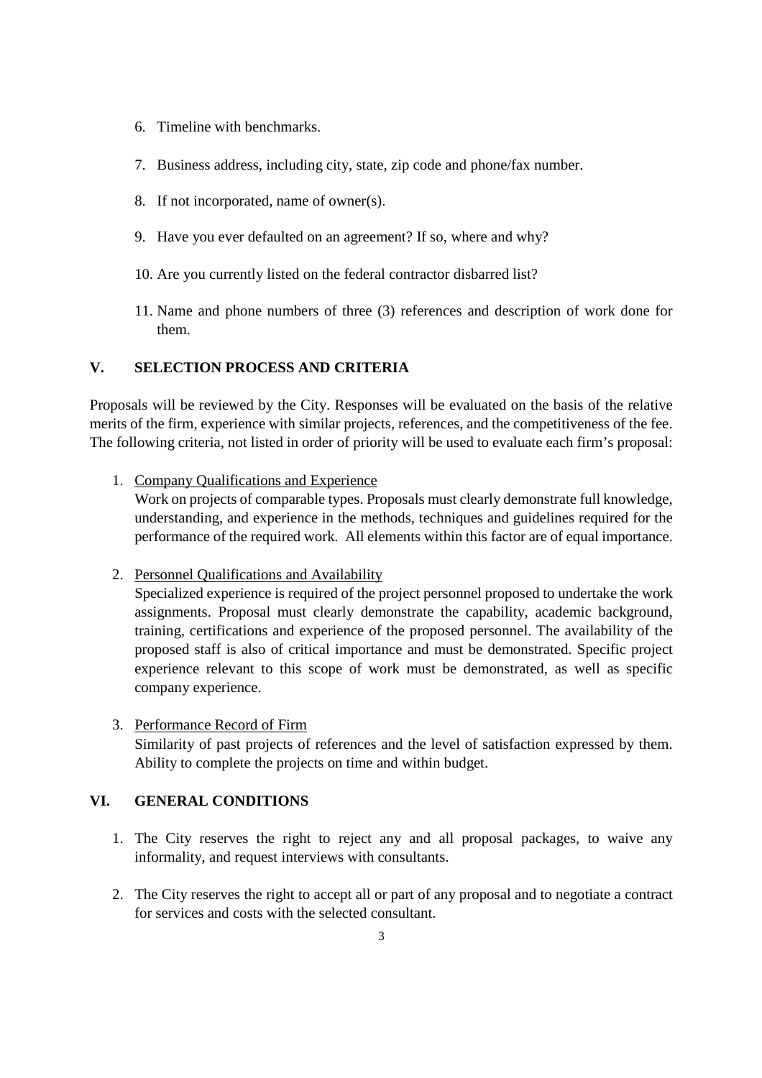- 6. Timeline with benchmarks.
- 7. Business address, including city, state, zip code and phone/fax number.
- 8. If not incorporated, name of owner(s).
- 9. Have you ever defaulted on an agreement? If so, where and why?
- 10. Are you currently listed on the federal contractor disbarred list?
- 11. Name and phone numbers of three (3) references and description of work done for them.

#### $V_{\bullet}$ **SELECTION PROCESS AND CRITERIA**

Proposals will be reviewed by the City. Responses will be evaluated on the basis of the relative merits of the firm, experience with similar projects, references, and the competitiveness of the fee. The following criteria, not listed in order of priority will be used to evaluate each firm's proposal:

1. Company Qualifications and Experience

Work on projects of comparable types. Proposals must clearly demonstrate full knowledge, understanding, and experience in the methods, techniques and guidelines required for the performance of the required work. All elements within this factor are of equal importance.

2. Personnel Qualifications and Availability

Specialized experience is required of the project personnel proposed to undertake the work assignments. Proposal must clearly demonstrate the capability, academic background, training, certifications and experience of the proposed personnel. The availability of the proposed staff is also of critical importance and must be demonstrated. Specific project experience relevant to this scope of work must be demonstrated, as well as specific company experience.

3. Performance Record of Firm Similarity of past projects of references and the level of satisfaction expressed by them. Ability to complete the projects on time and within budget.

#### VI. **GENERAL CONDITIONS**

- 1. The City reserves the right to reject any and all proposal packages, to waive any informality, and request interviews with consultants.
- 2. The City reserves the right to accept all or part of any proposal and to negotiate a contract for services and costs with the selected consultant.